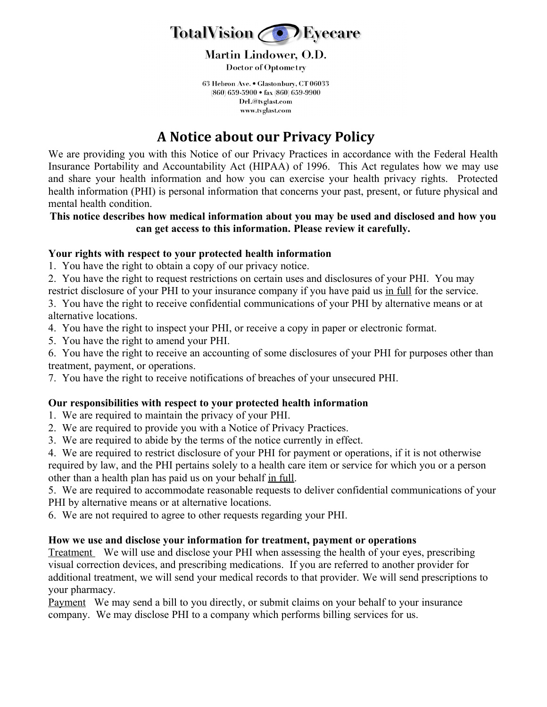

**Martin Lindower, O.D. Doctor of Optometry** 

63 Hebron Ave. . Glastonbury, CT 06033 (860) 659-5900 · fax (860) 659-9900 DrL@tvglast.com www.tvglast.com

# **A Notice about our Privacy Policy**

We are providing you with this Notice of our Privacy Practices in accordance with the Federal Health Insurance Portability and Accountability Act (HIPAA) of 1996.This Act regulates how we may use and share your health information and how you can exercise your health privacy rights. Protected health information (PHI) is personal information that concerns your past, present, or future physical and mental health condition.

#### **This notice describes how medical information about you may be used and disclosed and how you can get access to this information. Please review it carefully.**

## **Your rights with respect to your protected health information**

- 1. You have the right to obtain a copy of our privacy notice.
- 2. You have the right to request restrictions on certain uses and disclosures of your PHI. You may restrict disclosure of your PHI to your insurance company if you have paid us in full for the service.

3. You have the right to receive confidential communications of your PHI by alternative means or at alternative locations.

- 4. You have the right to inspect your PHI, or receive a copy in paper or electronic format.
- 5. You have the right to amend your PHI.

6. You have the right to receive an accounting of some disclosures of your PHI for purposes other than treatment, payment, or operations.

7. You have the right to receive notifications of breaches of your unsecured PHI.

## **Our responsibilities with respect to your protected health information**

- 1. We are required to maintain the privacy of your PHI.
- 2. We are required to provide you with a Notice of Privacy Practices.
- 3.We are required to abide by the terms of the notice currently in effect.

4. We are required to restrict disclosure of your PHI for payment or operations, if it is not otherwise required by law, and the PHI pertains solely to a health care item or service for which you or a person other than a health plan has paid us on your behalf in full.

5. We are required to accommodate reasonable requests to deliver confidential communications of your PHI by alternative means or at alternative locations.

6. We are not required to agree to other requests regarding your PHI.

#### **How we use and disclose your information for treatment, payment or operations**

Treatment We will use and disclose your PHI when assessing the health of your eyes, prescribing visual correction devices, and prescribing medications. If you are referred to another provider for additional treatment, we will send your medical records to that provider. We will send prescriptions to your pharmacy.

Payment We may send a bill to you directly, or submit claims on your behalf to your insurance company. We may disclose PHI to a company which performs billing services for us.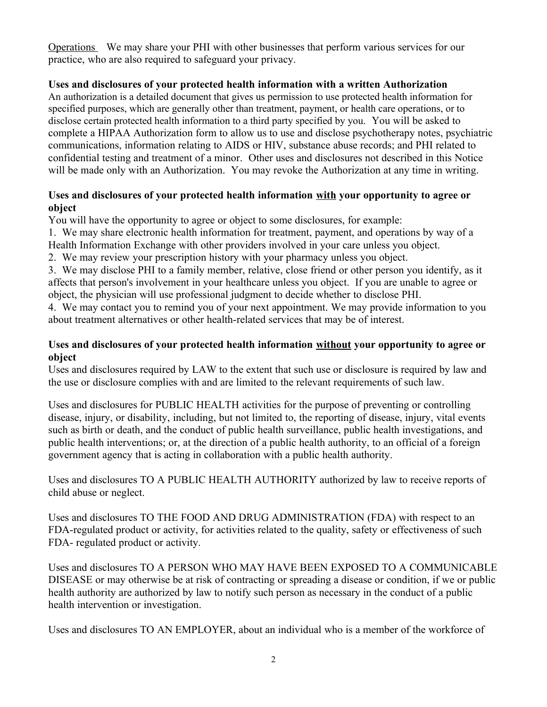Operations We may share your PHI with other businesses that perform various services for our practice, who are also required to safeguard your privacy.

## **Uses and disclosures of your protected health information with a written Authorization**

An authorization is a detailed document that gives us permission to use protected health information for specified purposes, which are generally other than treatment, payment, or health care operations, or to disclose certain protected health information to a third party specified by you.You will be asked to complete a HIPAA Authorization form to allow us to use and disclose psychotherapy notes, psychiatric communications, information relating to AIDS or HIV, substance abuse records; and PHI related to confidential testing and treatment of a minor.Other uses and disclosures not described in this Notice will be made only with an Authorization. You may revoke the Authorization at any time in writing.

## **Uses and disclosures of your protected health information with your opportunity to agree or object**

You will have the opportunity to agree or object to some disclosures, for example:

1. We may share electronic health information for treatment, payment, and operations by way of a Health Information Exchange with other providers involved in your care unless you object.

2. We may review your prescription history with your pharmacy unless you object.

3. We may disclose PHI to a family member, relative, close friend or other person you identify, as it affects that person's involvement in your healthcare unless you object. If you are unable to agree or object, the physician will use professional judgment to decide whether to disclose PHI.

4. We may contact you to remind you of your next appointment. We may provide information to you about treatment alternatives or other health-related services that may be of interest.

## **Uses and disclosures of your protected health information without your opportunity to agree or object**

Uses and disclosures required by LAW to the extent that such use or disclosure is required by law and the use or disclosure complies with and are limited to the relevant requirements of such law.

Uses and disclosures for PUBLIC HEALTH activities for the purpose of preventing or controlling disease, injury, or disability, including, but not limited to, the reporting of disease, injury, vital events such as birth or death, and the conduct of public health surveillance, public health investigations, and public health interventions; or, at the direction of a public health authority, to an official of a foreign government agency that is acting in collaboration with a public health authority.

Uses and disclosures TO A PUBLIC HEALTH AUTHORITY authorized by law to receive reports of child abuse or neglect.

Uses and disclosures TO THE FOOD AND DRUG ADMINISTRATION (FDA) with respect to an FDA-regulated product or activity, for activities related to the quality, safety or effectiveness of such FDA- regulated product or activity.

Uses and disclosures TO A PERSON WHO MAY HAVE BEEN EXPOSED TO A COMMUNICABLE DISEASE or may otherwise be at risk of contracting or spreading a disease or condition, if we or public health authority are authorized by law to notify such person as necessary in the conduct of a public health intervention or investigation.

Uses and disclosures TO AN EMPLOYER, about an individual who is a member of the workforce of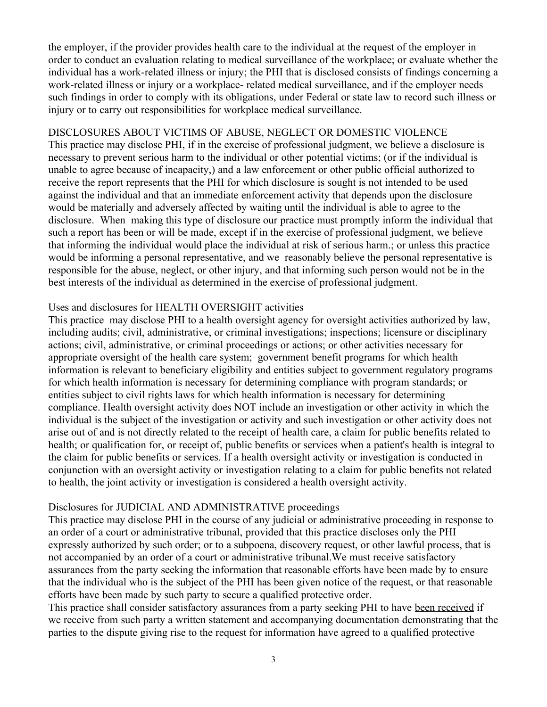the employer, if the provider provides health care to the individual at the request of the employer in order to conduct an evaluation relating to medical surveillance of the workplace; or evaluate whether the individual has a work-related illness or injury; the PHI that is disclosed consists of findings concerning a work-related illness or injury or a workplace- related medical surveillance, and if the employer needs such findings in order to comply with its obligations, under Federal or state law to record such illness or injury or to carry out responsibilities for workplace medical surveillance.

#### DISCLOSURES ABOUT VICTIMS OF ABUSE, NEGLECT OR DOMESTIC VIOLENCE

This practice may disclose PHI, if in the exercise of professional judgment, we believe a disclosure is necessary to prevent serious harm to the individual or other potential victims; (or if the individual is unable to agree because of incapacity,) and a law enforcement or other public official authorized to receive the report represents that the PHI for which disclosure is sought is not intended to be used against the individual and that an immediate enforcement activity that depends upon the disclosure would be materially and adversely affected by waiting until the individual is able to agree to the disclosure. When making this type of disclosure our practice must promptly inform the individual that such a report has been or will be made, except if in the exercise of professional judgment, we believe that informing the individual would place the individual at risk of serious harm.; or unless this practice would be informing a personal representative, and we reasonably believe the personal representative is responsible for the abuse, neglect, or other injury, and that informing such person would not be in the best interests of the individual as determined in the exercise of professional judgment.

## Uses and disclosures for HEALTH OVERSIGHT activities

This practice may disclose PHI to a health oversight agency for oversight activities authorized by law, including audits; civil, administrative, or criminal investigations; inspections; licensure or disciplinary actions; civil, administrative, or criminal proceedings or actions; or other activities necessary for appropriate oversight of the health care system; government benefit programs for which health information is relevant to beneficiary eligibility and entities subject to government regulatory programs for which health information is necessary for determining compliance with program standards; or entities subject to civil rights laws for which health information is necessary for determining compliance. Health oversight activity does NOT include an investigation or other activity in which the individual is the subject of the investigation or activity and such investigation or other activity does not arise out of and is not directly related to the receipt of health care, a claim for public benefits related to health; or qualification for, or receipt of, public benefits or services when a patient's health is integral to the claim for public benefits or services. If a health oversight activity or investigation is conducted in conjunction with an oversight activity or investigation relating to a claim for public benefits not related to health, the joint activity or investigation is considered a health oversight activity.

## Disclosures for JUDICIAL AND ADMINISTRATIVE proceedings

This practice may disclose PHI in the course of any judicial or administrative proceeding in response to an order of a court or administrative tribunal, provided that this practice discloses only the PHI expressly authorized by such order; or to a subpoena, discovery request, or other lawful process, that is not accompanied by an order of a court or administrative tribunal.We must receive satisfactory assurances from the party seeking the information that reasonable efforts have been made by to ensure that the individual who is the subject of the PHI has been given notice of the request, or that reasonable efforts have been made by such party to secure a qualified protective order.

This practice shall consider satisfactory assurances from a party seeking PHI to have been received if we receive from such party a written statement and accompanying documentation demonstrating that the parties to the dispute giving rise to the request for information have agreed to a qualified protective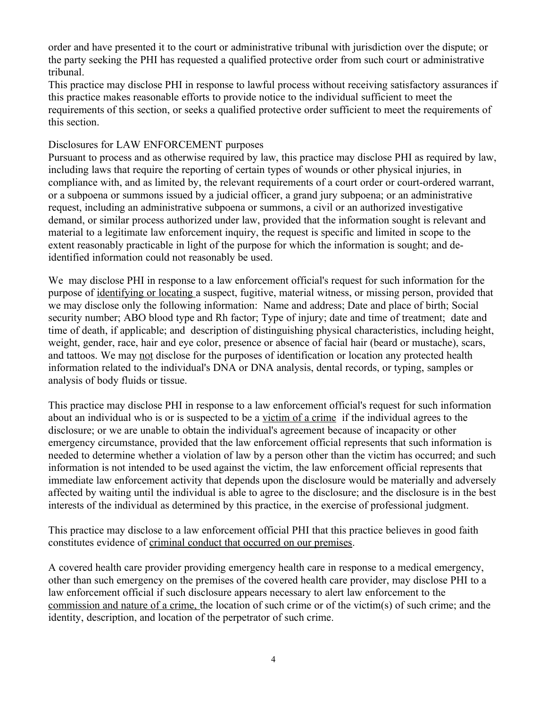order and have presented it to the court or administrative tribunal with jurisdiction over the dispute; or the party seeking the PHI has requested a qualified protective order from such court or administrative tribunal.

This practice may disclose PHI in response to lawful process without receiving satisfactory assurances if this practice makes reasonable efforts to provide notice to the individual sufficient to meet the requirements of this section, or seeks a qualified protective order sufficient to meet the requirements of this section.

#### Disclosures for LAW ENFORCEMENT purposes

Pursuant to process and as otherwise required by law, this practice may disclose PHI as required by law, including laws that require the reporting of certain types of wounds or other physical injuries, in compliance with, and as limited by, the relevant requirements of a court order or court-ordered warrant, or a subpoena or summons issued by a judicial officer, a grand jury subpoena; or an administrative request, including an administrative subpoena or summons, a civil or an authorized investigative demand, or similar process authorized under law, provided that the information sought is relevant and material to a legitimate law enforcement inquiry, the request is specific and limited in scope to the extent reasonably practicable in light of the purpose for which the information is sought; and deidentified information could not reasonably be used.

We may disclose PHI in response to a law enforcement official's request for such information for the purpose of identifying or locating a suspect, fugitive, material witness, or missing person, provided that we may disclose only the following information: Name and address; Date and place of birth; Social security number; ABO blood type and Rh factor; Type of injury; date and time of treatment; date and time of death, if applicable; and description of distinguishing physical characteristics, including height, weight, gender, race, hair and eye color, presence or absence of facial hair (beard or mustache), scars, and tattoos. We may not disclose for the purposes of identification or location any protected health information related to the individual's DNA or DNA analysis, dental records, or typing, samples or analysis of body fluids or tissue.

This practice may disclose PHI in response to a law enforcement official's request for such information about an individual who is or is suspected to be a victim of a crime if the individual agrees to the disclosure; or we are unable to obtain the individual's agreement because of incapacity or other emergency circumstance, provided that the law enforcement official represents that such information is needed to determine whether a violation of law by a person other than the victim has occurred; and such information is not intended to be used against the victim, the law enforcement official represents that immediate law enforcement activity that depends upon the disclosure would be materially and adversely affected by waiting until the individual is able to agree to the disclosure; and the disclosure is in the best interests of the individual as determined by this practice, in the exercise of professional judgment.

This practice may disclose to a law enforcement official PHI that this practice believes in good faith constitutes evidence of criminal conduct that occurred on our premises.

A covered health care provider providing emergency health care in response to a medical emergency, other than such emergency on the premises of the covered health care provider, may disclose PHI to a law enforcement official if such disclosure appears necessary to alert law enforcement to the commission and nature of a crime, the location of such crime or of the victim(s) of such crime; and the identity, description, and location of the perpetrator of such crime.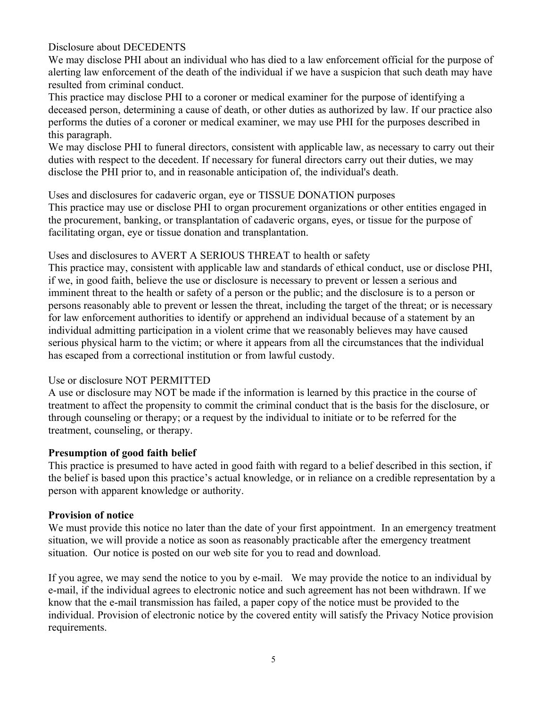Disclosure about DECEDENTS

We may disclose PHI about an individual who has died to a law enforcement official for the purpose of alerting law enforcement of the death of the individual if we have a suspicion that such death may have resulted from criminal conduct.

This practice may disclose PHI to a coroner or medical examiner for the purpose of identifying a deceased person, determining a cause of death, or other duties as authorized by law. If our practice also performs the duties of a coroner or medical examiner, we may use PHI for the purposes described in this paragraph.

We may disclose PHI to funeral directors, consistent with applicable law, as necessary to carry out their duties with respect to the decedent. If necessary for funeral directors carry out their duties, we may disclose the PHI prior to, and in reasonable anticipation of, the individual's death.

Uses and disclosures for cadaveric organ, eye or TISSUE DONATION purposes

This practice may use or disclose PHI to organ procurement organizations or other entities engaged in the procurement, banking, or transplantation of cadaveric organs, eyes, or tissue for the purpose of facilitating organ, eye or tissue donation and transplantation.

Uses and disclosures to AVERT A SERIOUS THREAT to health or safety

This practice may, consistent with applicable law and standards of ethical conduct, use or disclose PHI, if we, in good faith, believe the use or disclosure is necessary to prevent or lessen a serious and imminent threat to the health or safety of a person or the public; and the disclosure is to a person or persons reasonably able to prevent or lessen the threat, including the target of the threat; or is necessary for law enforcement authorities to identify or apprehend an individual because of a statement by an individual admitting participation in a violent crime that we reasonably believes may have caused serious physical harm to the victim; or where it appears from all the circumstances that the individual has escaped from a correctional institution or from lawful custody.

#### Use or disclosure NOT PERMITTED

A use or disclosure may NOT be made if the information is learned by this practice in the course of treatment to affect the propensity to commit the criminal conduct that is the basis for the disclosure, or through counseling or therapy; or a request by the individual to initiate or to be referred for the treatment, counseling, or therapy.

## **Presumption of good faith belief**

This practice is presumed to have acted in good faith with regard to a belief described in this section, if the belief is based upon this practice's actual knowledge, or in reliance on a credible representation by a person with apparent knowledge or authority.

#### **Provision of notice**

We must provide this notice no later than the date of your first appointment. In an emergency treatment situation, we will provide a notice as soon as reasonably practicable after the emergency treatment situation. Our notice is posted on our web site for you to read and download.

If you agree, we may send the notice to you by e-mail. We may provide the notice to an individual by e-mail, if the individual agrees to electronic notice and such agreement has not been withdrawn. If we know that the e-mail transmission has failed, a paper copy of the notice must be provided to the individual. Provision of electronic notice by the covered entity will satisfy the Privacy Notice provision requirements.